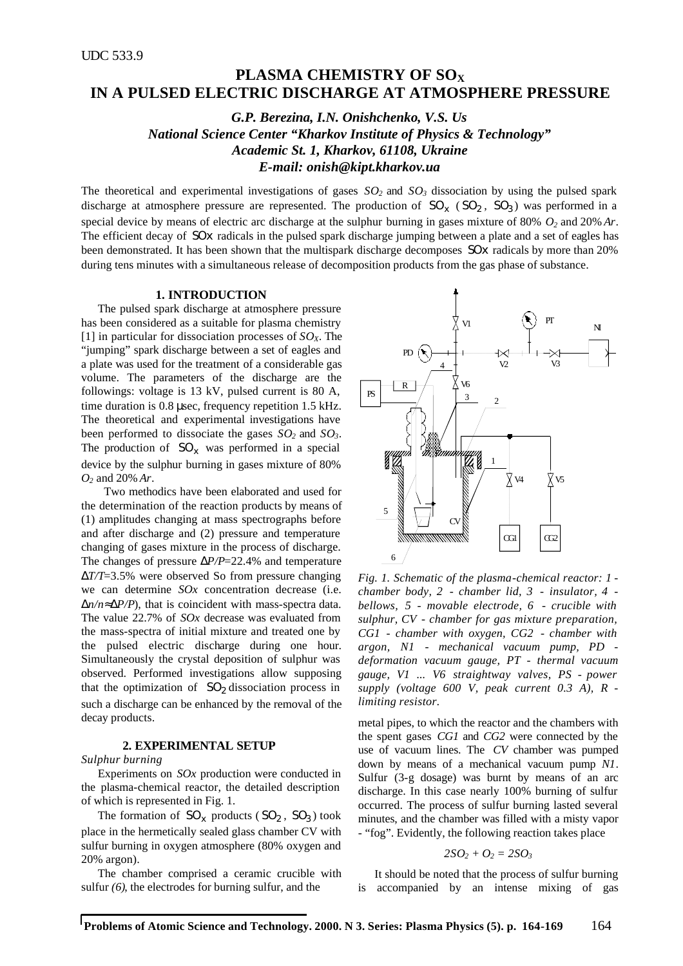# **PLASMA CHEMISTRY OF SO<sup>X</sup> IN A PULSED ELECTRIC DISCHARGE AT ATMOSPHERE PRESSURE**

*G.P. Berezina, I.N. Onishchenko, V.S. Us National Science Center "Kharkov Institute of Physics & Technology" Academic St. 1, Kharkov, 61108, Ukraine E-mail: onish@kipt.kharkov.ua*

The theoretical and experimental investigations of gases  $SO_2$  and  $SO_3$  dissociation by using the pulsed spark discharge at atmosphere pressure are represented. The production of  $SO_x$  ( $SO_2$ ,  $SO_3$ ) was performed in a special device by means of electric arc discharge at the sulphur burning in gases mixture of 80% *O2* and 20% *Ar*. The efficient decay of *SOx* radicals in the pulsed spark discharge jumping between a plate and a set of eagles has been demonstrated. It has been shown that the multispark discharge decomposes *SOx* radicals by more than 20% during tens minutes with a simultaneous release of decomposition products from the gas phase of substance.

## **1. INTRODUCTION**

The pulsed spark discharge at atmosphere pressure has been considered as a suitable for plasma chemistry [1] in particular for dissociation processes of *SOX*. The "jumping" spark discharge between a set of eagles and a plate was used for the treatment of a considerable gas volume. The parameters of the discharge are the followings: voltage is 13 kV, pulsed current is 80 A, time duration is 0.8 μsec, frequency repetition 1.5 kHz. The theoretical and experimental investigations have been performed to dissociate the gases *SO2* and *SO3*. The production of  $SO_x$  was performed in a special device by the sulphur burning in gases mixture of 80% *O2* and 20% *Ar*.

Two methodics have been elaborated and used for the determination of the reaction products by means of (1) amplitudes changing at mass spectrographs before and after discharge and (2) pressure and temperature changing of gases mixture in the process of discharge. The changes of pressure Δ*P/P*=22.4% and temperature Δ*T/T*=3.5% were observed So from pressure changing we can determine *SOx* concentration decrease (i.e. Δ*n/n*≈Δ*P/P*), that is coincident with mass-spectra data. The value 22.7% of *SOx* decrease was evaluated from the mass-spectra of initial mixture and treated one by the pulsed electric discharge during one hour. Simultaneously the crystal deposition of sulphur was observed. Performed investigations allow supposing that the optimization of  $SO_2$  dissociation process in such a discharge can be enhanced by the removal of the decay products.

#### **2. EXPERIMENTAL SETUP**

#### *Sulphur burning*

Experiments on *SOx* production were conducted in the plasma-chemical reactor, the detailed description of which is represented in Fig. 1.

The formation of  $SO_x$  products ( $SO_2$ ,  $SO_3$ ) took place in the hermetically sealed glass chamber CV with sulfur burning in oxygen atmosphere (80% oxygen and 20% argon).

The chamber comprised a ceramic crucible with sulfur *(6)*, the electrodes for burning sulfur, and the



*Fig. 1. Schematic of the plasma-chemical reactor: 1 chamber body, 2 - chamber lid, 3 - insulator, 4 bellows, 5 - movable electrode, 6 - crucible with sulphur, CV - chamber for gas mixture preparation, CG1 - chamber with oxygen, CG2 - chamber with argon, N1 - mechanical vacuum pump, PD deformation vacuum gauge, PT - thermal vacuum gauge, V1 ... V6 straightway valves, PS - power supply (voltage 600 V, peak current 0.3 A), R limiting resistor.*

metal pipes, to which the reactor and the chambers with the spent gases *CG1* and *CG2* were connected by the use of vacuum lines. The *CV* chamber was pumped down by means of a mechanical vacuum pump *N1*. Sulfur (3-g dosage) was burnt by means of an arc discharge. In this case nearly 100% burning of sulfur occurred. The process of sulfur burning lasted several minutes, and the chamber was filled with a misty vapor - "fog". Evidently, the following reaction takes place

$$
2SO_2+O_2=2SO_3
$$

It should be noted that the process of sulfur burning is accompanied by an intense mixing of gas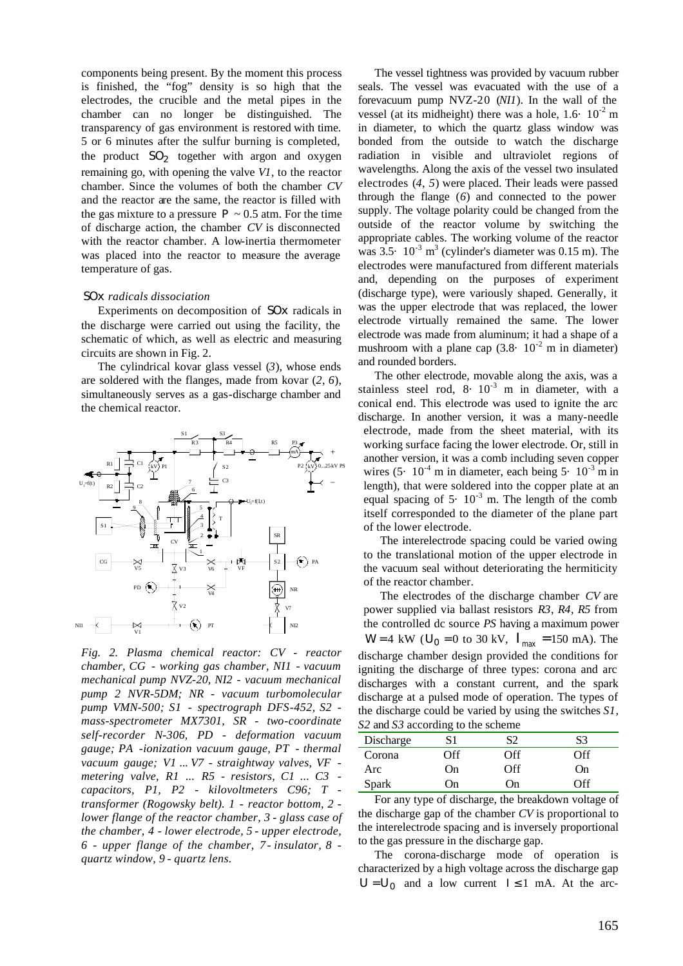components being present. By the moment this process is finished, the "fog" density is so high that the electrodes, the crucible and the metal pipes in the chamber can no longer be distinguished. The transparency of gas environment is restored with time. 5 or 6 minutes after the sulfur burning is completed, the product *SO<sup>2</sup>* together with argon and oxygen remaining go, with opening the valve *V1*, to the reactor chamber. Since the volumes of both the chamber *CV* and the reactor are the same, the reactor is filled with the gas mixture to a pressure  $P \sim 0.5$  atm. For the time of discharge action, the chamber *CV* is disconnected with the reactor chamber. A low-inertia thermometer was placed into the reactor to measure the average temperature of gas.

## *SOx radicals dissociation*

Experiments on decomposition of *SOx* radicals in the discharge were carried out using the facility, the schematic of which, as well as electric and measuring circuits are shown in Fig. 2.

The cylindrical kovar glass vessel (*3*), whose ends are soldered with the flanges, made from kovar (*2*, *6*), simultaneously serves as a gas-discharge chamber and the chemical reactor.



*Fig. 2. Plasma chemical reactor: CV - reactor chamber, CG - working gas chamber, NI1 - vacuum mechanical pump NVZ-20, NI2 - vacuum mechanical pump 2 NVR-5DM; NR - vacuum turbomolecular pump VMN-500; S1 - spectrograph DFS-452, S2 mass-spectrometer MX7301, SR - two-coordinate self-recorder N-306, PD - deformation vacuum gauge; PA -ionization vacuum gauge, PT - thermal vacuum gauge; V1 ... V7 - straightway valves, VF metering valve, R1 ... R5 - resistors, C1 ... C3 capacitors, P1, P2 - kilovoltmeters C96; T transformer (Rogowsky belt). 1 - reactor bottom, 2 lower flange of the reactor chamber, 3 - glass case of the chamber, 4 - lower electrode, 5 - upper electrode, 6 - upper flange of the chamber, 7 - insulator, 8 quartz window, 9 - quartz lens.*

The vessel tightness was provided by vacuum rubber seals. The vessel was evacuated with the use of a forevacuum pump NVZ-20 (*NI1*). In the wall of the vessel (at its midheight) there was a hole,  $1.6 \cdot 10^{-2}$  m in diameter, to which the quartz glass window was bonded from the outside to watch the discharge radiation in visible and ultraviolet regions of wavelengths. Along the axis of the vessel two insulated electrodes (*4*, *5*) were placed. Their leads were passed through the flange (*6*) and connected to the power supply. The voltage polarity could be changed from the outside of the reactor volume by switching the appropriate cables. The working volume of the reactor was  $3.5 \cdot 10^{-3}$  m<sup>3</sup> (cylinder's diameter was  $0.15$  m). The electrodes were manufactured from different materials and, depending on the purposes of experiment (discharge type), were variously shaped. Generally, it was the upper electrode that was replaced, the lower electrode virtually remained the same. The lower electrode was made from aluminum; it had a shape of a mushroom with a plane cap  $(3.8 \cdot 10^{-2} \text{ m})$  in diameter) and rounded borders.

The other electrode, movable along the axis, was a stainless steel rod,  $8 \cdot 10^{-3}$  m in diameter, with a conical end. This electrode was used to ignite the arc discharge. In another version, it was a many-needle electrode, made from the sheet material, with its working surface facing the lower electrode. Or, still in another version, it was a comb including seven copper wires  $(5 \cdot 10^{-4} \text{ m} \text{ in diameter, each being } 5 \cdot 10^{-3} \text{ m} \text{ in }$ length), that were soldered into the copper plate at an equal spacing of  $5 \cdot 10^{-3}$  m. The length of the comb itself corresponded to the diameter of the plane part of the lower electrode.

The interelectrode spacing could be varied owing to the translational motion of the upper electrode in the vacuum seal without deteriorating the hermiticity of the reactor chamber.

The electrodes of the discharge chamber *CV* are power supplied via ballast resistors *R3*, *R4*, *R5* from the controlled dc source *PS* having a maximum power *W* = 4 kW ( $U_0$  = 0 to 30 kV,  $I_{\text{max}}$  = 150 mA). The discharge chamber design provided the conditions for igniting the discharge of three types: corona and arc discharges with a constant current, and the spark discharge at a pulsed mode of operation. The types of the discharge could be varied by using the switches *S1*, *S2* and *S3* according to the scheme

|           | -    |          |        |  |
|-----------|------|----------|--------|--|
| Discharge | S1   | S2       | S3     |  |
| Corona    | Off  | Off      | Off    |  |
| Arc       | On)  | Off      | On)    |  |
| Spark     | .)n  | On)      | ገff    |  |
| $-$       | .  . | __<br>__ | $\sim$ |  |

For any type of discharge, the breakdown voltage of the discharge gap of the chamber *CV* is proportional to the interelectrode spacing and is inversely proportional to the gas pressure in the discharge gap.

The corona-discharge mode of operation is characterized by a high voltage across the discharge gap  $U = U_0$  and a low current  $I \le 1$  mA. At the arc-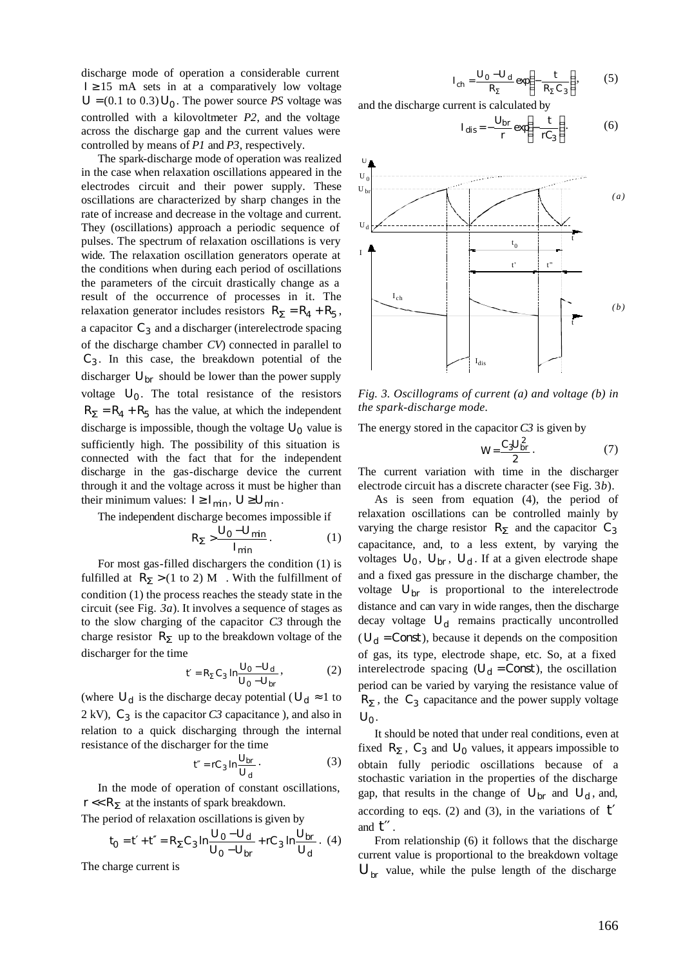discharge mode of operation a considerable current  $I \geq 15$  mA sets in at a comparatively low voltage  $U = (0.1 \text{ to } 0.3) U_0$ . The power source *PS* voltage was controlled with a kilovoltmeter *P2*, and the voltage across the discharge gap and the current values were controlled by means of *P1* and *P3*, respectively.

The spark-discharge mode of operation was realized in the case when relaxation oscillations appeared in the electrodes circuit and their power supply. These oscillations are characterized by sharp changes in the rate of increase and decrease in the voltage and current. They (oscillations) approach a periodic sequence of pulses. The spectrum of relaxation oscillations is very wide. The relaxation oscillation generators operate at the conditions when during each period of oscillations the parameters of the circuit drastically change as a result of the occurrence of processes in it. The relaxation generator includes resistors  $R_S = R_4 + R_5$ , a capacitor  $C_3$  and a discharger (interelectrode spacing of the discharge chamber *CV*) connected in parallel to *C3* . In this case, the breakdown potential of the discharger *Ubr* should be lower than the power supply voltage  $U_0$ . The total resistance of the resistors  $R$ <sup>*S*</sup> =  $R$ <sup>*A*</sup> +  $R$ <sup>*5*</sup> has the value, at which the independent discharge is impossible, though the voltage  $U_0$  value is sufficiently high. The possibility of this situation is connected with the fact that for the independent discharge in the gas-discharge device the current through it and the voltage across it must be higher than their minimum values:  $I \geq I_{min}$ ,  $U \geq U_{min}$ .

The independent discharge becomes impossible if

$$
R_{\mathbf{S}} > \frac{U_0 - U_{\min}}{I_{\min}}.
$$
 (1)

For most gas-filled dischargers the condition (1) is fulfilled at  $R<sub>S</sub>$  > (1 to 2) M . With the fulfillment of condition (1) the process reaches the steady state in the circuit (see Fig. *3a*). It involves a sequence of stages as to the slow charging of the capacitor *C3* through the charge resistor *RS* up to the breakdown voltage of the discharger for the time

$$
t' = R_S C_3 \ln \frac{U_0 - U_d}{U_0 - U_{br}},
$$
 (2)

(where  $U_d$  is the discharge decay potential ( $U_d \approx 1$  to 2 kV), *C<sup>3</sup>* is the capacitor *C3* capacitance ), and also in relation to a quick discharging through the internal resistance of the discharger for the time

$$
t'' = rC_3 \ln \frac{U_{br}}{U_d} \,. \tag{3}
$$

In the mode of operation of constant oscillations,  $r \ll R$ *S* at the instants of spark breakdown.

The period of relaxation oscillations is given by

$$
t_0 = t' + t'' = R_{\mathbf{S}} C_3 \ln \frac{U_0 - U_d}{U_0 - U_{br}} + r C_3 \ln \frac{U_{br}}{U_d} \,. \tag{4}
$$

The charge current is

$$
I_{ch} = \frac{U_0 - U_d}{R_S} \exp\left(-\frac{t}{R_S C_3}\right),\tag{5}
$$

and the discharge current is calculated by

$$
I_{dis} = -\frac{U_{br}}{r} \exp\left(-\frac{t}{rC_3}\right).
$$
 (6)



*Fig. 3. Oscillograms of current (a) and voltage (b) in the spark-discharge mode.*

The energy stored in the capacitor *C3* is given by

$$
W = \frac{C_3 U_{br}^2}{2} \,. \tag{7}
$$

The current variation with time in the discharger electrode circuit has a discrete character (see Fig. 3*b*).

As is seen from equation (4), the period of relaxation oscillations can be controlled mainly by varying the charge resistor *RS* and the capacitor *C<sup>3</sup>* capacitance, and, to a less extent, by varying the voltages  $U_0$ ,  $U_{br}$ ,  $U_d$ . If at a given electrode shape and a fixed gas pressure in the discharge chamber, the voltage  $U_{hr}$  is proportional to the interelectrode distance and can vary in wide ranges, then the discharge decay voltage *U<sup>d</sup>* remains practically uncontrolled  $(U_d = Const)$ , because it depends on the composition of gas, its type, electrode shape, etc. So, at a fixed interelectrode spacing  $(U_d = Const)$ , the oscillation period can be varied by varying the resistance value of  $R$ *S*, the  $C_3$  capacitance and the power supply voltage *U0* .

It should be noted that under real conditions, even at fixed  $R$ <sub>*S*</sub>,  $C_3$  and  $U_0$  values, it appears impossible to obtain fully periodic oscillations because of a stochastic variation in the properties of the discharge gap, that results in the change of  $U_{br}$  and  $U_d$ , and, according to eqs. (2) and (3), in the variations of *t*′ and *t*′′ .

From relationship (6) it follows that the discharge current value is proportional to the breakdown voltage  $U_{\mu r}$  value, while the pulse length of the discharge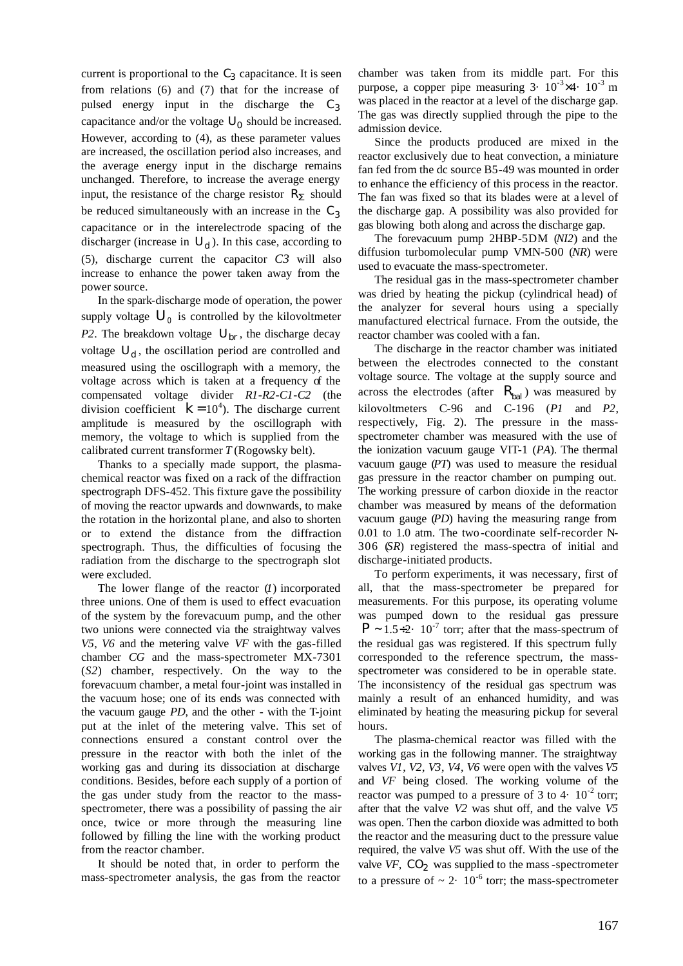current is proportional to the  $C_3$  capacitance. It is seen from relations (6) and (7) that for the increase of pulsed energy input in the discharge the *C<sup>3</sup>* capacitance and/or the voltage  $U_0$  should be increased. However, according to (4), as these parameter values are increased, the oscillation period also increases, and the average energy input in the discharge remains unchanged. Therefore, to increase the average energy input, the resistance of the charge resistor  $R<sub>S</sub>$  should be reduced simultaneously with an increase in the *C<sup>3</sup>* capacitance or in the interelectrode spacing of the discharger (increase in  $U_d$ ). In this case, according to (5), discharge current the capacitor *C3* will also increase to enhance the power taken away from the power source.

In the spark-discharge mode of operation, the power supply voltage  $U_0$  is controlled by the kilovoltmeter *P2*. The breakdown voltage  $U_{br}$ , the discharge decay voltage  $U_d$ , the oscillation period are controlled and measured using the oscillograph with a memory, the voltage across which is taken at a frequency of the compensated voltage divider *R1*-*R2*-*C1*-*C2* (the division coefficient  $k = 10<sup>4</sup>$ ). The discharge current amplitude is measured by the oscillograph with memory, the voltage to which is supplied from the calibrated current transformer *T* (Rogowsky belt).

Thanks to a specially made support, the plasmachemical reactor was fixed on a rack of the diffraction spectrograph DFS-452. This fixture gave the possibility of moving the reactor upwards and downwards, to make the rotation in the horizontal plane, and also to shorten or to extend the distance from the diffraction spectrograph. Thus, the difficulties of focusing the radiation from the discharge to the spectrograph slot were excluded.

The lower flange of the reactor (*1*) incorporated three unions. One of them is used to effect evacuation of the system by the forevacuum pump, and the other two unions were connected via the straightway valves *V5*, *V6* and the metering valve *VF* with the gas-filled chamber *CG* and the mass-spectrometer MX-7301 (*S2*) chamber, respectively. On the way to the forevacuum chamber, a metal four-joint was installed in the vacuum hose; one of its ends was connected with the vacuum gauge *PD*, and the other - with the T-joint put at the inlet of the metering valve. This set of connections ensured a constant control over the pressure in the reactor with both the inlet of the working gas and during its dissociation at discharge conditions. Besides, before each supply of a portion of the gas under study from the reactor to the massspectrometer, there was a possibility of passing the air once, twice or more through the measuring line followed by filling the line with the working product from the reactor chamber.

It should be noted that, in order to perform the mass-spectrometer analysis, the gas from the reactor chamber was taken from its middle part. For this purpose, a copper pipe measuring  $3 \cdot 10^{-3} \times 4 \cdot 10^{-3}$  m was placed in the reactor at a level of the discharge gap. The gas was directly supplied through the pipe to the admission device.

Since the products produced are mixed in the reactor exclusively due to heat convection, a miniature fan fed from the dc source B5-49 was mounted in order to enhance the efficiency of this process in the reactor. The fan was fixed so that its blades were at a level of the discharge gap. A possibility was also provided for gas blowing both along and across the discharge gap.

The forevacuum pump 2HBP-5DM (*NI2*) and the diffusion turbomolecular pump VMN-500 (*NR*) were used to evacuate the mass-spectrometer.

The residual gas in the mass-spectrometer chamber was dried by heating the pickup (cylindrical head) of the analyzer for several hours using a specially manufactured electrical furnace. From the outside, the reactor chamber was cooled with a fan.

The discharge in the reactor chamber was initiated between the electrodes connected to the constant voltage source. The voltage at the supply source and across the electrodes (after  $R_{bal}$ ) was measured by kilovoltmeters C-96 and C-196 (*P1* and *P2*, respectively, Fig. 2). The pressure in the massspectrometer chamber was measured with the use of the ionization vacuum gauge VIT-1 (*PA*). The thermal vacuum gauge (*PT*) was used to measure the residual gas pressure in the reactor chamber on pumping out. The working pressure of carbon dioxide in the reactor chamber was measured by means of the deformation vacuum gauge (*PD*) having the measuring range from 0.01 to 1.0 atm. The two-coordinate self-recorder N-306 (*SR*) registered the mass-spectra of initial and discharge-initiated products.

To perform experiments, it was necessary, first of all, that the mass-spectrometer be prepared for measurements. For this purpose, its operating volume was pumped down to the residual gas pressure  $P \sim 1.5 \div 2$ . 10<sup>-7</sup> torr; after that the mass-spectrum of the residual gas was registered. If this spectrum fully corresponded to the reference spectrum, the massspectrometer was considered to be in operable state. The inconsistency of the residual gas spectrum was mainly a result of an enhanced humidity, and was eliminated by heating the measuring pickup for several hours.

The plasma-chemical reactor was filled with the working gas in the following manner. The straightway valves *V1*, *V2*, *V3*, *V4*, *V6* were open with the valves *V5* and *VF* being closed. The working volume of the reactor was pumped to a pressure of 3 to 4 $\cdot$  10<sup>-2</sup> torr; after that the valve *V2* was shut off, and the valve *V5* was open. Then the carbon dioxide was admitted to both the reactor and the measuring duct to the pressure value required, the valve *V5* was shut off. With the use of the valve *VF*, *CO<sup>2</sup>* was supplied to the mass -spectrometer to a pressure of  $\sim 2 \cdot 10^{-6}$  torr; the mass-spectrometer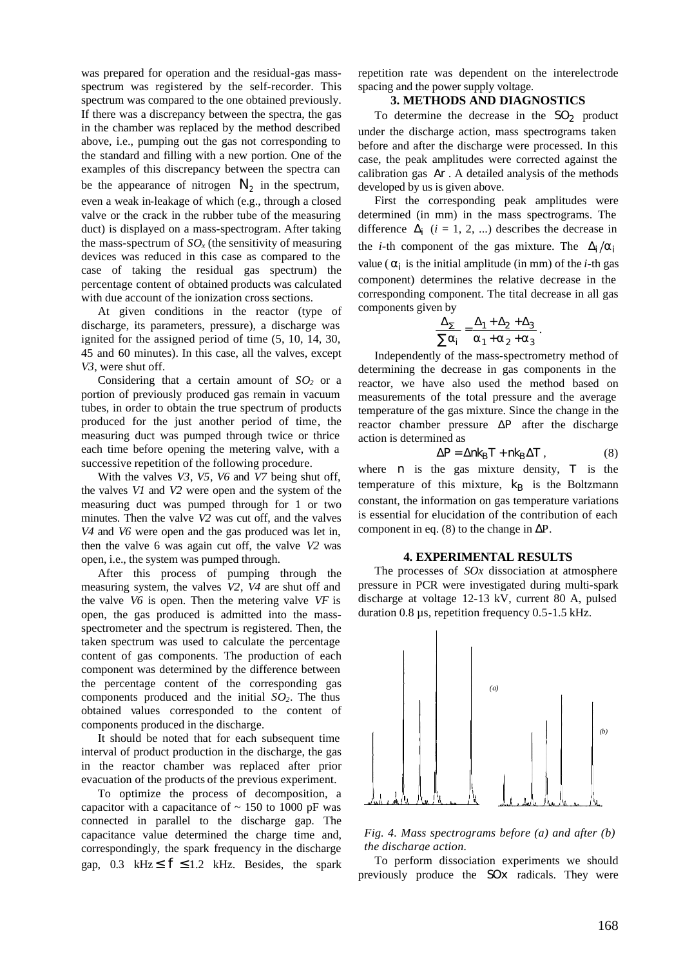was prepared for operation and the residual-gas massspectrum was registered by the self-recorder. This spectrum was compared to the one obtained previously. If there was a discrepancy between the spectra, the gas in the chamber was replaced by the method described above, i.e., pumping out the gas not corresponding to the standard and filling with a new portion. One of the examples of this discrepancy between the spectra can be the appearance of nitrogen  $N_2$  in the spectrum, even a weak in-leakage of which (e.g., through a closed valve or the crack in the rubber tube of the measuring duct) is displayed on a mass-spectrogram. After taking the mass-spectrum of  $SO<sub>x</sub>$  (the sensitivity of measuring devices was reduced in this case as compared to the case of taking the residual gas spectrum) the percentage content of obtained products was calculated with due account of the ionization cross sections.

At given conditions in the reactor (type of discharge, its parameters, pressure), a discharge was ignited for the assigned period of time (5, 10, 14, 30, 45 and 60 minutes). In this case, all the valves, except *V3*, were shut off.

Considering that a certain amount of *SO2* or a portion of previously produced gas remain in vacuum tubes, in order to obtain the true spectrum of products produced for the just another period of time, the measuring duct was pumped through twice or thrice each time before opening the metering valve, with a successive repetition of the following procedure.

With the valves *V3*, *V5*, *V6* and *V7* being shut off, the valves *V1* and *V2* were open and the system of the measuring duct was pumped through for 1 or two minutes. Then the valve *V2* was cut off, and the valves *V4* and *V6* were open and the gas produced was let in, then the valve 6 was again cut off, the valve *V2* was open, i.e., the system was pumped through.

After this process of pumping through the measuring system, the valves *V2*, *V4* are shut off and the valve *V6* is open. Then the metering valve *VF* is open, the gas produced is admitted into the massspectrometer and the spectrum is registered. Then, the taken spectrum was used to calculate the percentage content of gas components. The production of each component was determined by the difference between the percentage content of the corresponding gas components produced and the initial *SO2*. The thus obtained values corresponded to the content of components produced in the discharge.

It should be noted that for each subsequent time interval of product production in the discharge, the gas in the reactor chamber was replaced after prior evacuation of the products of the previous experiment.

To optimize the process of decomposition, a capacitor with a capacitance of  $\sim$  150 to 1000 pF was connected in parallel to the discharge gap. The capacitance value determined the charge time and, correspondingly, the spark frequency in the discharge gap, 0.3 kHz $\le f \le 1.2$  kHz. Besides, the spark repetition rate was dependent on the interelectrode spacing and the power supply voltage.

## **3. METHODS AND DIAGNOSTICS**

To determine the decrease in the  $SO_2$  product under the discharge action, mass spectrograms taken before and after the discharge were processed. In this case, the peak amplitudes were corrected against the calibration gas *Ar* . A detailed analysis of the methods developed by us is given above.

First the corresponding peak amplitudes were determined (in mm) in the mass spectrograms. The difference  $\mathbf{D}_i$  ( $i = 1, 2, ...$ ) describes the decrease in the *i*-th component of the gas mixture. The  $D_i/a_i$ value ( $a_i$  is the initial amplitude (in mm) of the *i*-th gas component) determines the relative decrease in the corresponding component. The tital decrease in all gas components given by

$$
\frac{\boldsymbol{D_S}}{\sum \boldsymbol{a}_i} = \frac{\boldsymbol{D}_1 + \boldsymbol{D}_2 + \boldsymbol{D}_3}{\boldsymbol{a}_1 + \boldsymbol{a}_2 + \boldsymbol{a}_3}.
$$

Independently of the mass-spectrometry method of determining the decrease in gas components in the reactor, we have also used the method based on measurements of the total pressure and the average temperature of the gas mixture. Since the change in the reactor chamber pressure *DP* after the discharge action is determined as

$$
DP = Dnk_BT + nk_BDT, \qquad (8)
$$

where *n* is the gas mixture density, *T* is the temperature of this mixture,  $k_B$  is the Boltzmann constant, the information on gas temperature variations is essential for elucidation of the contribution of each component in eq. (8) to the change in  $\Delta P$ .

#### **4. EXPERIMENTAL RESULTS**

The processes of *SOx* dissociation at atmosphere pressure in PCR were investigated during multi-spark discharge at voltage 12-13 kV, current 80 A, pulsed duration 0.8 µs, repetition frequency 0.5-1.5 kHz.



*Fig. 4. Mass spectrograms before (a) and after (b) the discharge action.*

To perform dissociation experiments we should previously produce the *SOx* radicals. They were